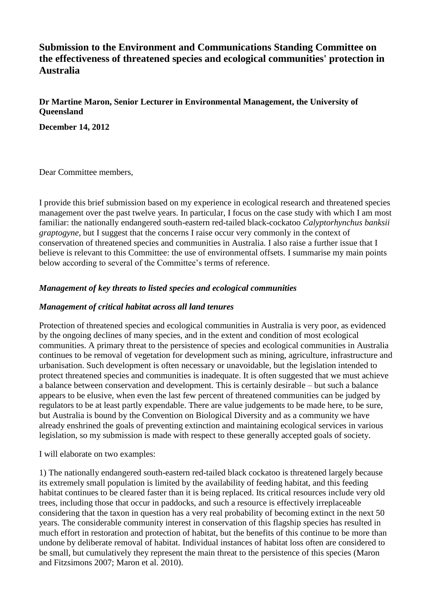# **Submission to the Environment and Communications Standing Committee on the effectiveness of threatened species and ecological communities' protection in Australia**

**Dr Martine Maron, Senior Lecturer in Environmental Management, the University of Queensland**

**December 14, 2012**

Dear Committee members,

I provide this brief submission based on my experience in ecological research and threatened species management over the past twelve years. In particular, I focus on the case study with which I am most familiar: the nationally endangered south-eastern red-tailed black-cockatoo *Calyptorhynchus banksii graptogyne*, but I suggest that the concerns I raise occur very commonly in the context of conservation of threatened species and communities in Australia. I also raise a further issue that I believe is relevant to this Committee: the use of environmental offsets. I summarise my main points below according to several of the Committee's terms of reference.

# *Management of key threats to listed species and ecological communities*

#### *Management of critical habitat across all land tenures*

Protection of threatened species and ecological communities in Australia is very poor, as evidenced by the ongoing declines of many species, and in the extent and condition of most ecological communities. A primary threat to the persistence of species and ecological communities in Australia continues to be removal of vegetation for development such as mining, agriculture, infrastructure and urbanisation. Such development is often necessary or unavoidable, but the legislation intended to protect threatened species and communities is inadequate. It is often suggested that we must achieve a balance between conservation and development. This is certainly desirable – but such a balance appears to be elusive, when even the last few percent of threatened communities can be judged by regulators to be at least partly expendable. There are value judgements to be made here, to be sure, but Australia is bound by the Convention on Biological Diversity and as a community we have already enshrined the goals of preventing extinction and maintaining ecological services in various legislation, so my submission is made with respect to these generally accepted goals of society.

I will elaborate on two examples:

1) The nationally endangered south-eastern red-tailed black cockatoo is threatened largely because its extremely small population is limited by the availability of feeding habitat, and this feeding habitat continues to be cleared faster than it is being replaced. Its critical resources include very old trees, including those that occur in paddocks, and such a resource is effectively irreplaceable considering that the taxon in question has a very real probability of becoming extinct in the next 50 years. The considerable community interest in conservation of this flagship species has resulted in much effort in restoration and protection of habitat, but the benefits of this continue to be more than undone by deliberate removal of habitat. Individual instances of habitat loss often are considered to be small, but cumulatively they represent the main threat to the persistence of this species (Maron and Fitzsimons 2007; Maron et al. 2010).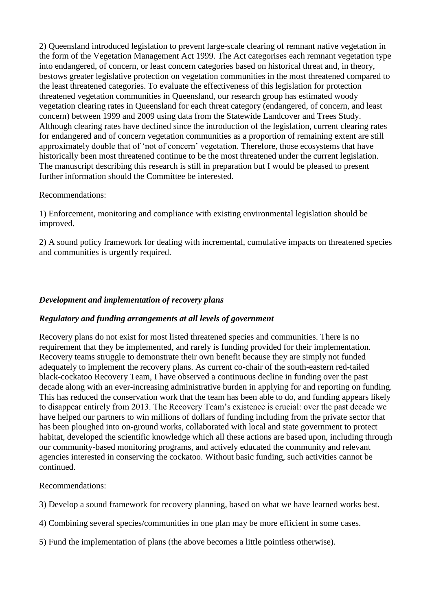2) Queensland introduced legislation to prevent large-scale clearing of remnant native vegetation in the form of the Vegetation Management Act 1999. The Act categorises each remnant vegetation type into endangered, of concern, or least concern categories based on historical threat and, in theory, bestows greater legislative protection on vegetation communities in the most threatened compared to the least threatened categories. To evaluate the effectiveness of this legislation for protection threatened vegetation communities in Queensland, our research group has estimated woody vegetation clearing rates in Queensland for each threat category (endangered, of concern, and least concern) between 1999 and 2009 using data from the Statewide Landcover and Trees Study. Although clearing rates have declined since the introduction of the legislation, current clearing rates for endangered and of concern vegetation communities as a proportion of remaining extent are still approximately double that of 'not of concern' vegetation. Therefore, those ecosystems that have historically been most threatened continue to be the most threatened under the current legislation. The manuscript describing this research is still in preparation but I would be pleased to present further information should the Committee be interested.

## Recommendations:

1) Enforcement, monitoring and compliance with existing environmental legislation should be improved.

2) A sound policy framework for dealing with incremental, cumulative impacts on threatened species and communities is urgently required.

## *Development and implementation of recovery plans*

# *Regulatory and funding arrangements at all levels of government*

Recovery plans do not exist for most listed threatened species and communities. There is no requirement that they be implemented, and rarely is funding provided for their implementation. Recovery teams struggle to demonstrate their own benefit because they are simply not funded adequately to implement the recovery plans. As current co-chair of the south-eastern red-tailed black-cockatoo Recovery Team, I have observed a continuous decline in funding over the past decade along with an ever-increasing administrative burden in applying for and reporting on funding. This has reduced the conservation work that the team has been able to do, and funding appears likely to disappear entirely from 2013. The Recovery Team's existence is crucial: over the past decade we have helped our partners to win millions of dollars of funding including from the private sector that has been ploughed into on-ground works, collaborated with local and state government to protect habitat, developed the scientific knowledge which all these actions are based upon, including through our community-based monitoring programs, and actively educated the community and relevant agencies interested in conserving the cockatoo. Without basic funding, such activities cannot be continued.

Recommendations:

- 3) Develop a sound framework for recovery planning, based on what we have learned works best.
- 4) Combining several species/communities in one plan may be more efficient in some cases.
- 5) Fund the implementation of plans (the above becomes a little pointless otherwise).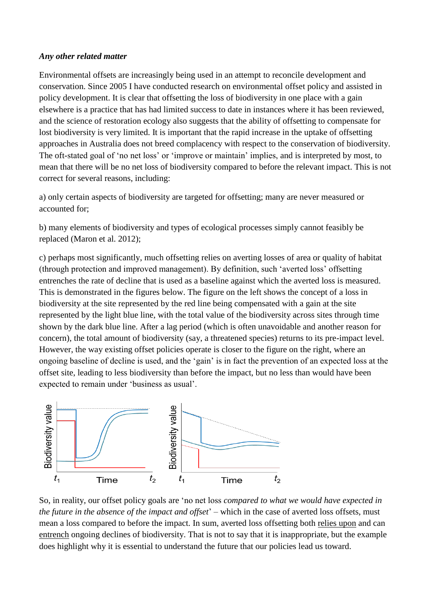#### *Any other related matter*

Environmental offsets are increasingly being used in an attempt to reconcile development and conservation. Since 2005 I have conducted research on environmental offset policy and assisted in policy development. It is clear that offsetting the loss of biodiversity in one place with a gain elsewhere is a practice that has had limited success to date in instances where it has been reviewed, and the science of restoration ecology also suggests that the ability of offsetting to compensate for lost biodiversity is very limited. It is important that the rapid increase in the uptake of offsetting approaches in Australia does not breed complacency with respect to the conservation of biodiversity. The oft-stated goal of 'no net loss' or 'improve or maintain' implies, and is interpreted by most, to mean that there will be no net loss of biodiversity compared to before the relevant impact. This is not correct for several reasons, including:

a) only certain aspects of biodiversity are targeted for offsetting; many are never measured or accounted for;

b) many elements of biodiversity and types of ecological processes simply cannot feasibly be replaced (Maron et al. 2012);

c) perhaps most significantly, much offsetting relies on averting losses of area or quality of habitat (through protection and improved management). By definition, such 'averted loss' offsetting entrenches the rate of decline that is used as a baseline against which the averted loss is measured. This is demonstrated in the figures below. The figure on the left shows the concept of a loss in biodiversity at the site represented by the red line being compensated with a gain at the site represented by the light blue line, with the total value of the biodiversity across sites through time shown by the dark blue line. After a lag period (which is often unavoidable and another reason for concern), the total amount of biodiversity (say, a threatened species) returns to its pre-impact level. However, the way existing offset policies operate is closer to the figure on the right, where an ongoing baseline of decline is used, and the 'gain' is in fact the prevention of an expected loss at the offset site, leading to less biodiversity than before the impact, but no less than would have been expected to remain under 'business as usual'.



So, in reality, our offset policy goals are 'no net loss *compared to what we would have expected in the future in the absence of the impact and offset*' – which in the case of averted loss offsets, must mean a loss compared to before the impact. In sum, averted loss offsetting both relies upon and can entrench ongoing declines of biodiversity. That is not to say that it is inappropriate, but the example does highlight why it is essential to understand the future that our policies lead us toward.